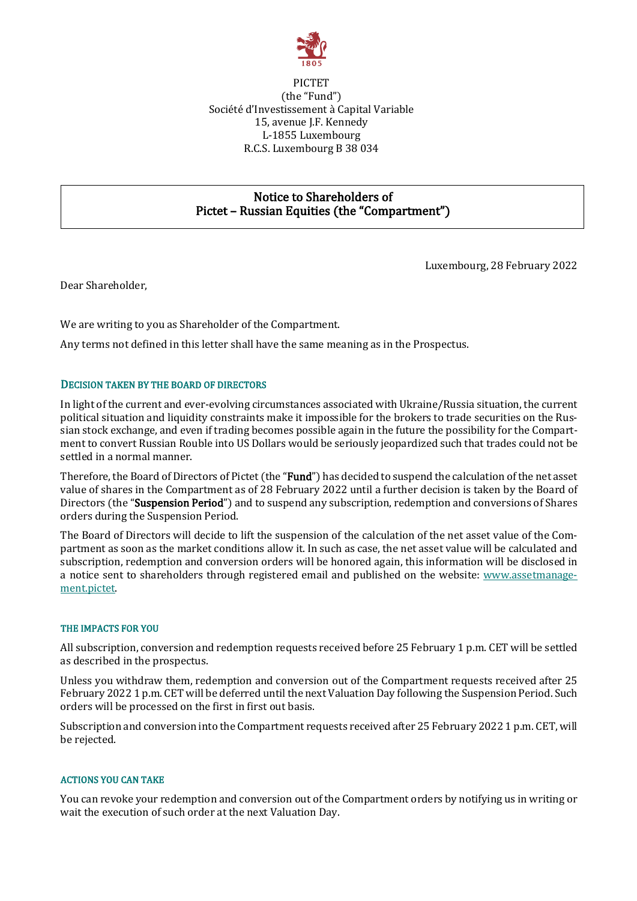

## PICTET (the "Fund") Société d'Investissement à Capital Variable 15, avenue J.F. Kennedy L-1855 Luxembourg R.C.S. Luxembourg B 38 034

# Notice to Shareholders of Pictet – Russian Equities (the "Compartment")

Luxembourg, 28 February 2022

Dear Shareholder,

We are writing to you as Shareholder of the Compartment.

Any terms not defined in this letter shall have the same meaning as in the Prospectus.

## DECISION TAKEN BY THE BOARD OF DIRECTORS

In light of the current and ever-evolving circumstances associated with Ukraine/Russia situation, the current political situation and liquidity constraints make it impossible for the brokers to trade securities on the Russian stock exchange, and even if trading becomes possible again in the future the possibility for the Compartment to convert Russian Rouble into US Dollars would be seriously jeopardized such that trades could not be settled in a normal manner.

Therefore, the Board of Directors of Pictet (the "Fund") has decided to suspend the calculation of the net asset value of shares in the Compartment as of 28 February 2022 until a further decision is taken by the Board of Directors (the "Suspension Period") and to suspend any subscription, redemption and conversions of Shares orders during the Suspension Period.

The Board of Directors will decide to lift the suspension of the calculation of the net asset value of the Compartment as soon as the market conditions allow it. In such as case, the net asset value will be calculated and subscription, redemption and conversion orders will be honored again, this information will be disclosed in a notice sent to shareholders through registered email and published on the website: [www.assetmanage](http://www.assetmanagement.pictet/)[ment.pictet.](http://www.assetmanagement.pictet/)

### THE IMPACTS FOR YOU

All subscription, conversion and redemption requests received before 25 February 1 p.m. CET will be settled as described in the prospectus.

Unless you withdraw them, redemption and conversion out of the Compartment requests received after 25 February 2022 1 p.m. CET will be deferred until the next Valuation Day following the Suspension Period. Such orders will be processed on the first in first out basis.

Subscription and conversion into the Compartment requests received after 25 February 2022 1 p.m. CET, will be rejected.

### ACTIONS YOU CAN TAKE

You can revoke your redemption and conversion out of the Compartment orders by notifying us in writing or wait the execution of such order at the next Valuation Day.